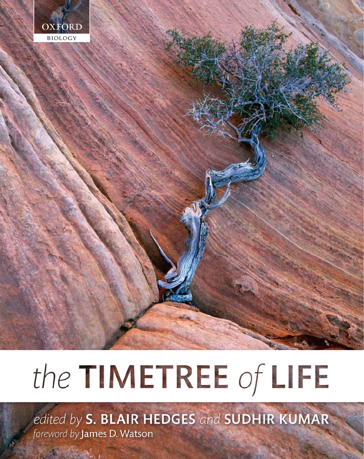

# the TIMETREE of LIFE

edited by S. BLAIR HEDGES and SUDHIR KUMAR foreword by James D. Watson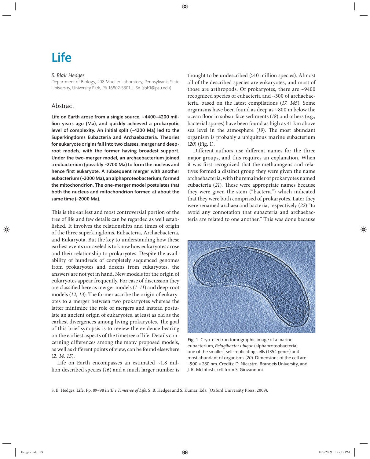# Life

## *S. Blair Hedges*

Department of Biology, 208 Mueller Laboratory, Pennsylvania State University, University Park, PA 16802-5301, USA (sbh1@psu.edu)

# Abstract

Life on Earth arose from a single source, ~4400–4200 million years ago (Ma), and quickly achieved a prokaryotic level of complexity. An initial split (~4200 Ma) led to the Superkingdoms Eubacteria and Archaebacteria. Theories for eukaryote origins fall into two classes, merger and deeproot models, with the former having broadest support. Under the two-merger model, an archaebacterium joined a eubacterium (possibly ~2700 Ma) to form the nucleus and hence first eukaryote. A subsequent merger with another eubacterium (~2000 Ma), an alphaproteobacterium, formed the mitochondrion. The one-merger model postulates that both the nucleus and mitochondrion formed at about the same time (~2000 Ma).

This is the earliest and most controversial portion of the tree of life and few details can be regarded as well established. It involves the relationships and times of origin of the three superkingdoms, Eubacteria, Archaebacteria, and Eukaryota. But the key to understanding how these earliest events unraveled is to know how eukaryotes arose and their relationship to prokaryotes. Despite the availability of hundreds of completely sequenced genomes from prokaryotes and dozens from eukaryotes, the answers are not yet in hand. New models for the origin of eukaryotes appear frequently. For ease of discussion they are classified here as merger models (1-11) and deep-root models (12, 13). The former ascribe the origin of eukaryotes to a merger between two prokaryotes whereas the latter minimize the role of mergers and instead postulate an ancient origin of eukaryotes, at least as old as the earliest divergences among living prokaryotes. The goal of this brief synopsis is to review the evidence bearing on the earliest aspects of the timetree of life. Details concerning differences among the many proposed models, as well as different points of view, can be found elsewhere (*2, 14, 15*).

Life on Earth encompasses an estimated ~1.8 million described species (*16*) and a much larger number is thought to be undescribed (>10 million species). Almost all of the described species are eukaryotes, and most of those are arthropods. Of prokaryotes, there are ~9400 recognized species of eubacteria and ~300 of archaebacteria, based on the latest compilations (*17, 145*). Some organisms have been found as deep as ~800 m below the ocean floor in subsurface sediments (18) and others (e.g., bacterial spores) have been found as high as 41 km above sea level in the atmosphere (19). The most abundant organism is probably a ubiquitous marine eubacterium (*20*) (Fig. 1).

Different authors use different names for the three major groups, and this requires an explanation. When it was first recognized that the methanogens and relatives formed a distinct group they were given the name archaebacteria, with the remainder of prokaryotes named eubacteria (21). These were appropriate names because they were given the stem ("bacteria") which indicated that they were both comprised of prokaryotes. Later they were renamed archaea and bacteria, respectively (*22*) "to avoid any connotation that eubacteria and archaebacteria are related to one another." This was done because



Fig. 1 Cryo-electron tomographic image of a marine eubacterium, *Pelagibacter ubique* (alphaproteobacteria), one of the smallest self-replicating cells (1354 genes) and most abundant of organisms (*20*). Dimensions of the cell are ~900 × 280 nm. Credits: D. Nicastro, Brandeis University, and J. R. McIntosh; cell from S. Giovannoni.

S. B. Hedges. Life. Pp. 89-98 in *The Timetree of Life*, S. B. Hedges and S. Kumar, Eds. (Oxford University Press, 2009).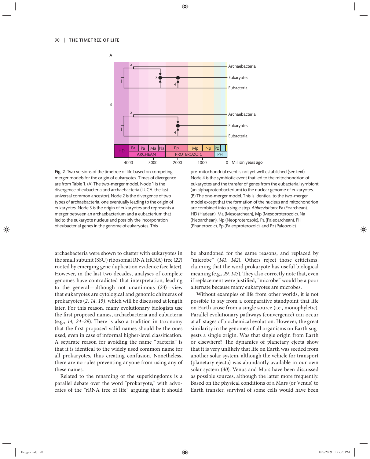

Fig. 2 Two versions of the timetree of life based on competing merger models for the origin of eukaryotes. Times of divergence are from Table 1. (A) The two-merger model. Node 1 is the divergence of eubacteria and archaebacteria (LUCA, the last universal common ancestor). Node 2 is the divergence of two types of archaebacteria, one eventually leading to the origin of eukaryotes. Node 3 is the origin of eukaryotes and represents a merger between an archaebacterium and a eubacterium that led to the eukaryote nucleus and possibly the incorporation of eubacterial genes in the genome of eukaryotes. This

archaebacteria were shown to cluster with eukaryotes in the small subunit (SSU) ribosomal RNA (rRNA) tree (*22*) rooted by emerging gene duplication evidence (see later). However, in the last two decades, analyses of complete genomes have contradicted that interpretation, leading to the general—although not unanimous (23)—view that eukaryotes are cytological and genomic chimeras of prokaryotes (*2, 14, 15*), which will be discussed at length later. For this reason, many evolutionary biologists use the first proposed names, archaebacteria and eubacteria (e.g.,  $14$ ,  $24-29$ ). There is also a tradition in taxonomy that the first proposed valid names should be the ones used, even in case of informal higher-level classification. A separate reason for avoiding the name "bacteria" is that it is identical to the widely used common name for all prokaryotes, thus creating confusion. Nonetheless, there are no rules preventing anyone from using any of these names.

Related to the renaming of the superkingdoms is a parallel debate over the word "prokaryote," with advocates of the "rRNA tree of life" arguing that it should pre-mitochondrial event is not yet well established (see text). Node 4 is the symbiotic event that led to the mitochondrion of eukaryotes and the transfer of genes from the eubacterial symbiont (an alphaproteobacterium) to the nuclear genome of eukaryotes. (B) The one-merger model. This is identical to the two-merger model except that the formation of the nucleus and mitochondrion are combined into a single step. *Abbreviations*: Ea (Eoarchean), HD (Hadean), Ma (Mesoarchean), Mp (Mesoproterozoic), Na (Neoarchean), Np (Neoproterozoic), Pa (Paleoarchean), PH (Phanerozoic), Pp (Paleoproterozoic), and Pz (Paleozoic).

be abandoned for the same reasons, and replaced by "microbe" (*141, 142*). Others reject those criticisms, claiming that the word prokaryote has useful biological meaning (e.g., 29, 143). They also correctly note that, even if replacement were justified, "microbe" would be a poor alternate because many eukaryotes are microbes.

Without examples of life from other worlds, it is not possible to say from a comparative standpoint that life on Earth arose from a single source (i.e., monophyletic). Parallel evolutionary pathways (convergence) can occur at all stages of biochemical evolution. However, the great similarity in the genomes of all organisms on Earth suggests a single origin. Was that single origin from Earth or elsewhere? The dynamics of planetary ejecta show that it is very unlikely that life on Earth was seeded from another solar system, although the vehicle for transport (planetary ejecta) was abundantly available in our own solar system (*30*). Venus and Mars have been discussed as possible sources, although the latter more frequently. Based on the physical conditions of a Mars (or Venus) to Earth transfer, survival of some cells would have been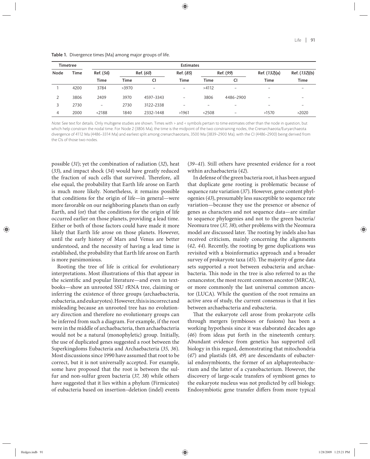| Timetree |             | <b>Estimates</b>  |           |                   |                          |                          |                          |                              |                          |
|----------|-------------|-------------------|-----------|-------------------|--------------------------|--------------------------|--------------------------|------------------------------|--------------------------|
| Node     | <b>Time</b> | Ref. (56)         | Ref. (60) |                   | Ref. (85)                | Ref. (99)                |                          | Ref. (132)(a)                | Ref. (132)(b)            |
|          |             | <b>Time</b>       | Time      | CI                | <b>Time</b>              | Time                     | CI                       | <b>Time</b>                  | <b>Time</b>              |
|          | 4200        | 3784              | >3970     | $\qquad \qquad =$ | $\overline{\phantom{a}}$ | >4112                    | $\overline{\phantom{m}}$ | $\qquad \qquad =$            | $\overline{\phantom{a}}$ |
|          | 3806        | 2409              | 3970      | 4597-3343         | $\overline{\phantom{0}}$ | 3806                     | 4486-2900                | $\overline{\phantom{0}}$     |                          |
| 3        | 2730        | $\qquad \qquad -$ | 2730      | 3122-2338         | $\overline{\phantom{a}}$ | $\overline{\phantom{a}}$ | $\overline{\phantom{m}}$ | $\qquad \qquad \blacksquare$ | $\overline{\phantom{a}}$ |
| 4        | 2000        | < 2188            | 1840      | 2332-1448         | >1961                    | < 2508                   | $\qquad \qquad$          | >1570                        | >2020                    |

Table 1. Divergence times (Ma) among major groups of life.

Note: See text for details. Only multigene studies are shown. Times with > and < symbols pertain to time estimates other than the node in question, but which help constrain the nodal time. For Node 2 (3806 Ma), the time is the midpoint of the two constraining nodes, the Crenarchaeota/Euryarchaeota divergence of 4112 Ma (4486–3314 Ma) and earliest split among crenarchaeotans, 3500 Ma (3839–2900 Ma), with the CI (4486–2900) being derived from the CIs of those two nodes.

possible (*31*); yet the combination of radiation (*32*), heat (*33*), and impact shock (*34*) would have greatly reduced the fraction of such cells that survived. Therefore, all else equal, the probability that Earth life arose on Earth is much more likely. Nonetheless, it remains possible that conditions for the origin of life—in general—were more favorable on our neighboring planets than on early Earth, and (or) that the conditions for the origin of life occurred earlier on those planets, providing a lead time. Either or both of those factors could have made it more likely that Earth life arose on those planets. However, until the early history of Mars and Venus are better understood, and the necessity of having a lead time is established, the probability that Earth life arose on Earth is more parsimonious.

Rooting the tree of life is critical for evolutionary interpretations. Most illustrations of this that appear in the scientific and popular literature—and even in textbooks—show an unrooted SSU rRNA tree, claiming or inferring the existence of three groups (archaebacteria, eubacteria, and eukaryotes). However, this is incorrect and misleading because an unrooted tree has no evolutionary direction and therefore no evolutionary groups can be inferred from such a diagram. For example, if the root were in the middle of archaebacteria, then archaebacteria would not be a natural (monophyletic) group. Initially, the use of duplicated genes suggested a root between the Superkingdoms Eubacteria and Archaebacteria (*35, 36*). Most discussions since 1990 have assumed that root to be correct, but it is not universally accepted. For example, some have proposed that the root is between the sulfur and non-sulfur green bacteria (*37, 38*) while others have suggested that it lies within a phylum (Firmicutes) of eubacteria based on insertion–deletion (indel) events

(*39–41*). Still others have presented evidence for a root within archaebacteria (*42*).

In defense of the green bacteria root, it has been argued that duplicate gene rooting is problematic because of sequence rate variation (*37*). However, gene content phylogenies (*43*), presumably less susceptible to sequence rate variation—because they use the presence or absence of genes as characters and not sequence data—are similar to sequence phylogenies and not to the green bacteria/ Neomura tree (*37, 38*); other problems with the Neomura model are discussed later. The rooting by indels also has received criticism, mainly concerning the alignments (*42, 44*). Recently, the rooting by gene duplications was revisited with a bioinformatics approach and a broader survey of prokaryote taxa (45). The majority of gene data sets supported a root between eubacteria and archaebacteria. This node in the tree is also referred to as the cenancestor, the most recent common ancestor (MRCA), or more commonly the last universal common ancestor (LUCA). While the question of the root remains an active area of study, the current consensus is that it lies between archaebacteria and eubacteria.

That the eukaryote cell arose from prokaryote cells through mergers (symbioses or fusions) has been a working hypothesis since it was elaborated decades ago (*46*) from ideas put forth in the nineteenth century. Abundant evidence from genetics has supported cell biology in this regard, demonstrating that mitochondria (*47*) and plastids (*48, 49*) are descendants of eubacterial endosymbionts, the former of an alphaproteobacterium and the latter of a cyanobacterium. However, the discovery of large-scale transfers of symbiont genes to the eukaryote nucleus was not predicted by cell biology. Endosymbiotic gene transfer differs from more typical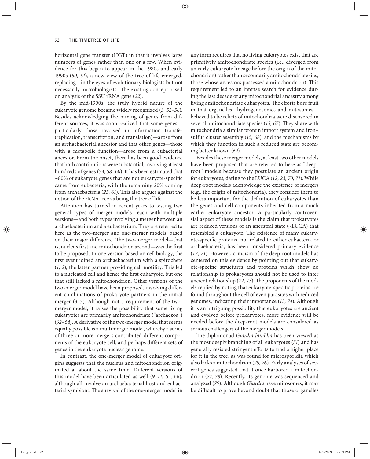horizontal gene transfer (HGT) in that it involves large numbers of genes rather than one or a few. When evidence for this began to appear in the 1980s and early 1990s (*50, 51*), a new view of the tree of life emerged, replacing—in the eyes of evolutionary biologists but not necessarily microbiologists—the existing concept based on analysis of the SSU rRNA gene (*22*).

By the mid-1990s, the truly hybrid nature of the eukaryote genome became widely recognized (*3, 52–58*). Besides acknowledging the mixing of genes from different sources, it was soon realized that some genesparticularly those involved in information transfer (replication, transcription, and translation)—arose from an archaebacterial ancestor and that other genes—those with a metabolic function—arose from a eubacterial ancestor. From the onset, there has been good evidence that both contributions were substantial, involving at least hundreds of genes (*53, 58–60*). It has been estimated that  $~80\%$  of eukaryote genes that are not eukaryote-specific came from eubacteria, with the remaining 20% coming from archaebacteria (25, 61). This also argues against the notion of the rRNA tree as being the tree of life.

Attention has turned in recent years to testing two general types of merger models—each with multiple versions—and both types involving a merger between an archaebacterium and a eubacterium. They are referred to here as the two-merger and one-merger models, based on their major difference. The two-merger model—that is, nucleus first and mitochondrion second—was the first to be proposed. In one version based on cell biology, the first event joined an archaebacterium with a spirochete  $(1, 2)$ , the latter partner providing cell motility. This led to a nucleated cell and hence the first eukaryote, but one that still lacked a mitochondrion. Other versions of the two-merger model have been proposed, involving different combinations of prokaryote partners in the initial merger  $(3-7)$ . Although not a requirement of the twomerger model, it raises the possibility that some living eukaryotes are primarily amitochondriate ("archaezoa") (*62–64*). A derivative of the two-merger model that seems equally possible is a multimerger model, whereby a series of three or more mergers contributed different components of the eukaryote cell, and perhaps different sets of genes in the eukaryote nuclear genome.

In contrast, the one-merger model of eukaryote origins suggests that the nucleus and mitochondrion originated at about the same time. Different versions of this model have been articulated as well (*9–11, 65, 66*), although all involve an archaebacterial host and eubacterial symbiont. The survival of the one-merger model in any form requires that no living eukaryotes exist that are primitively amitochondriate species (i.e., diverged from an early eukaryote lineage before the origin of the mitochondrion) rather than secondarily amitochondriate (i.e., those whose ancestors possessed a mitochondrion). This requirement led to an intense search for evidence during the last decade of any mitochondrial ancestry among living amitochondriate eukaryotes. The efforts bore fruit in that organelles—hydrogenosomes and mitosomes believed to be relicts of mitochondria were discovered in several amitochondriate species (15, 67). They share with mitochondria a similar protein import system and iron– sulfur cluster assembly (*15, 68*), and the mechanisms by which they function in such a reduced state are becoming better known (*69*).

Besides these merger models, at least two other models have been proposed that are referred to here as "deeproot" models because they postulate an ancient origin for eukaryotes, dating to the LUCA (*12, 23, 70, 71*). While deep-root models acknowledge the existence of mergers (e.g., the origin of mitochondria), they consider them to be less important for the definition of eukaryotes than the genes and cell components inherited from a much earlier eukaryote ancestor. A particularly controversial aspect of these models is the claim that prokaryotes are reduced versions of an ancestral state (~LUCA) that resembled a eukaryote. The existence of many eukaryote-specific proteins, not related to either eubacteria or archaebacteria, has been considered primary evidence (*12, 71*). However, criticism of the deep-root models has centered on this evidence by pointing out that eukaryote-specific structures and proteins which show no relationship to prokaryotes should not be used to infer ancient relationship (72, 73). The proponents of the models replied by noting that eukaryote-specific proteins are found throughout the cell of even parasites with reduced genomes, indicating their importance (*13, 74*). Although it is an intriguing possibility that eukaryotes are ancient and evolved before prokaryotes, more evidence will be needed before the deep-root models are considered as serious challengers of the merger models.

The diplomonad *Giardia lamblia* has been viewed as the most deeply branching of all eukaryotes (*51*) and has generally resisted stringent efforts to find a higher place for it in the tree, as was found for microsporidia which also lacks a mitochondrion (*75, 76*). Early analyses of several genes suggested that it once harbored a mitochondrion (*77, 78*). Recently, its genome was sequenced and analyzed (*79*). Although *Giardia* have mitosomes, it may be difficult to prove beyond doubt that those organelles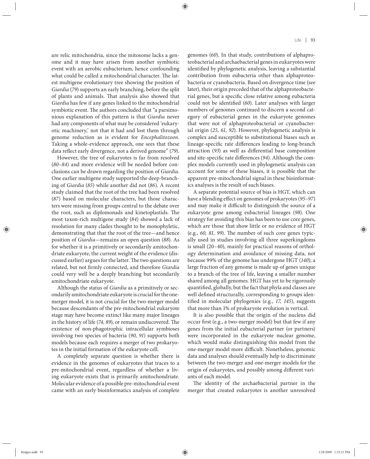are relic mitochondria, since the mitosome lacks a genome and it may have arisen from another symbiotic event with an aerobic eubacterium, hence confounding what could be called a mitochondrial character. The latest multigene evolutionary tree showing the position of *Giardia* (*79*) supports an early branching, before the split of plants and animals. That analysis also showed that *Giardia* has few if any genes linked to the mitochondrial symbiotic event. The authors concluded that "a parsimonious explanation of this pattern is that *Giardia* never had any components of what may be considered 'eukaryotic machinery,' not that it had and lost them through genome reduction as is evident for *Encephalitozoon*. Taking a whole-evidence approach, one sees that these data reflect early divergence, not a derived genome" (79).

However, the tree of eukaryotes is far from resolved (*80–84*) and more evidence will be needed before conclusions can be drawn regarding the position of *Giardia*. One earlier multigene study supported the deep-branching of *Giardia* (*85*) while another did not (*86*). A recent study claimed that the root of the tree had been resolved (*87*) based on molecular characters, but those characters were missing from groups central to the debate over the root, such as diplomonads and kinetoplastids. The most taxon-rich multigene study (*84*) showed a lack of resolution for many clades thought to be monophyletic, demonstrating that that the root of the tree—and hence position of *Giardia*—remains an open question (*88*). As for whether it is a primitively or secondarily amitochondriate eukaryote, the current weight of the evidence (discussed earlier) argues for the latter. The two questions are related, but not firmly connected, and therefore *Giardia* could very well be a deeply branching but secondarily amitochondriate eukaryote.

Although the status of *Giardia* as a primitively or secondarily amitochondriate eukaryote is crucial for the onemerger model, it is not crucial for the two-merger model because descendants of the pre-mitochondrial eukaryote stage may have become extinct like many major lineages in the history of life (74, 89), or remain undiscovered. The existence of non-phagotrophic intracellular symbioses involving two species of bacteria (*90, 91*) supports both models because each requires a merger of two prokaryotes in the initial formation of the eukaryote cell.

A completely separate question is whether there is evidence in the genomes of eukaryotes that traces to a pre-mitochondrial event, regardless of whether a living eukaryote exists that is primarily amitochondriate. Molecular evidence of a possible pre-mitochondrial event came with an early bioinformatics analysis of complete genomes (*60*). In that study, contributions of alphaproteobacterial and archaebacterial genes in eukaryotes were identified by phylogenetic analysis, leaving a substantial contribution from eubacteria other than alphaproteobacteria or cyanobacteria. Based on divergence time (see later), their origin preceded that of the alphaproteobacterial genes, but a specific close relative among eubacteria could not be identified (60). Later analyses with larger numbers of genomes continued to discern a second category of eubacterial genes in the eukaryote genomes that were not of alphaproteobacterial or cyanobacterial origin (*25, 61, 92*). However, phylogenetic analysis is complex and susceptible to substitutional biases such as lineage-specific rate differences leading to long-branch attraction (93) as well as differential base composition and site-specific rate differences (94). Although the complex models currently used in phylogenetic analysis can account for some of these biases, it is possible that the apparent pre-mitochondrial signal in these bioinformatics analyses is the result of such biases.

A separate potential source of bias is HGT, which can have a blending effect on genomes of prokaryotes (95–97) and may make it difficult to distinguish the source of a eukaryote gene among eubacterial lineages (*98*). One strategy for avoiding this bias has been to use core genes, which are those that show little or no evidence of HGT (e.g., 60, 81, 99). The number of such core genes typically used in studies involving all three superkingdoms is small (20–40), mainly for practical reasons of orthology determination and avoidance of missing data, not because 99% of the genome has undergone HGT (*140*); a large fraction of any genome is made up of genes unique to a branch of the tree of life, leaving a smaller number shared among all genomes. HGT has yet to be rigorously quantified, globally, but the fact that phyla and classes are well defined structurally, corresponding to groups identified in molecular phylogenies (e.g., 17, 145), suggests that more than 1% of prokaryote evolution is vertical.

It is also possible that the origin of the nucleus did occur first (e.g., a two-merger model) but that few if any genes from the initial eubacterial partner (or partners) were incorporated in the eukaryote nuclear genome, which would make distinguishing this model from the one-merger model more difficult. Nonetheless, genomic data and analyses should eventually help to discriminate between the two-merger and one-merger models for the origin of eukaryotes, and possibly among different variants of each model.

The identity of the archaebacterial partner in the merger that created eukaryotes is another unresolved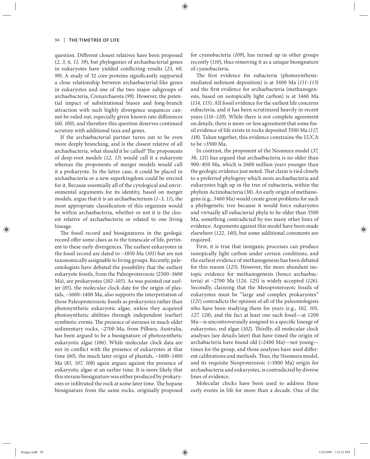question. Different closest relatives have been proposed (*2, 3, 6, 11, 59*), but phylogenies of archaebacterial genes in eukaryotes have yielded conflicting results (25, 60, 99). A study of 32 core proteins significantly supported a close relationship between archaebacterial-like genes in eukaryotes and one of the two major subgroups of archaebacteria, Crenarchaeota (*99*). However, the potential impact of substitutional biases and long-branch attraction with such highly divergence sequences cannot be ruled out, especially given known rate differences (*60, 100*), and therefore this question deserves continued scrutiny with additional taxa and genes.

If the archaebacterial partner turns out to be even more deeply branching, and is the closest relative of all archaebacteria, what should it be called? The proponents of deep-root models (12, 13) would call it a eukaryote whereas the proponents of merger models would call it a prokaryote. In the latter case, it could be placed in archaebacteria or a new superkingdom could be erected for it. Because essentially all of the cytological and environmental arguments for its identity, based on merger models, argue that it is an archaebacterium (*1–3, 11*), the most appropriate classification of this organism would be within archaebacteria, whether or not it is the closest relative of archaebacteria or related to one living lineage.

The fossil record and biosignatures in the geologic record offer some clues as to the timescale of life, pertinent to these early divergences. The earliest eukaryotes in the fossil record are dated to ~1850 Ma (*101*) but are not taxonomically assignable to living groups. Recently, paleontologists have debated the possibility that the earliest eukaryote fossils, from the Paleoproterozoic (2500–1600 Ma), are prokaryotes (*102–105*). As was pointed out earlier (*85*), the molecular clock date for the origin of plastids, ~1600–1400 Ma, also supports the interpretation of those Paleoproterozoic fossils as prokaryotes rather than photosynthetic eukaryotic algae, unless they acquired photosynthetic abilities through independent (earlier) symbiotic events. The presence of steranes in much older sedimentary rocks, ~2700 Ma, from Pilbara, Australia, has been argued to be a biosignature of photosynthetic eukaryotic algae (*106*). While molecular clock data are not in conflict with the presence of eukaryotes at that time (*60*), the much later origin of plastids, ~1600–1400 Ma (*85, 107, 108*) again argues against the presence of eukaryotic algae at an earlier time. It is more likely that this sterane biosignature was either produced by prokaryotes or infiltrated the rock at some later time. The hopane biosignature from the same rocks, originally proposed for cyanobacteria (109), has turned up in other groups recently (*110*), thus removing it as a unique biosignature of cyanobacteria.

The first evidence for eubacteria (photosynthesismediated sediment deposition) is at 3400 Ma (*111–113*) and the first evidence for archaebacteria (methanogenesis, based on isotopically light carbon) is at 3460 Ma (*114, 115*). All fossil evidence for the earliest life concerns eubacteria, and it has been scrutinized heavily in recent years (*116–120*). While there is not complete agreement on details, there is more-or-less agreement that some fossil evidence of life exists in rocks deposited 3500 Ma (*117, 118*). Taken together, this evidence constrains the LUCA to be >3500 Ma.

In contrast, the proponent of the Neomura model (*37, 38, 121*) has argued that archaebacteria is no older than 900–850 Ma, which is 2600 million years younger than the geologic evidence just noted. That claim is tied closely to a preferred phylogeny which nests archaebacteria and eukaryotes high up in the tree of eubacteria, within the phylum Actinobacteria (*38*). An early origin of methanogens (e.g., 3460 Ma) would create great problems for such a phylogenetic tree because it would force eukaryotes and virtually all eubacterial phyla to be older than 3500 Ma, something contradicted by too many other lines of evidence. Arguments against this model have been made elsewhere (*122, 140*), but some additional comments are required.

First, it is true that inorganic processes can produce isotopically light carbon under certain conditions, and the earliest evidence of methanogenesis has been debated for this reason (*123*). However, the more abundant isotopic evidence for methanogenesis (hence archaebacteria) at ~2700 Ma (*124, 125*) is widely accepted (*126*). Secondly, claiming that the Mesoproterozoic fossils of eukaryotes must be "large and complex prokaryotes" (*121*) contradicts the opinion of all of the paleontologists who have been studying them for years (e.g., 102, 105, *127, 128*), and the fact at least one such fossil—at 1200 Ma—is uncontroversially assigned to a specific lineage of eukaryotes, red algae (102). Thirdly, all molecular clock analyses (see details later) that have timed the origin of archabacteria have found old (>2400 Ma)—not young times for the group, and those analyses have used different calibrations and methods. Thus, the Neomura model, and its requisite Neoproterozoic (<1000 Ma) origin for archaebacteria and eukaryotes, is contradicted by diverse lines of evidence.

Molecular clocks have been used to address these early events in life for more than a decade. One of the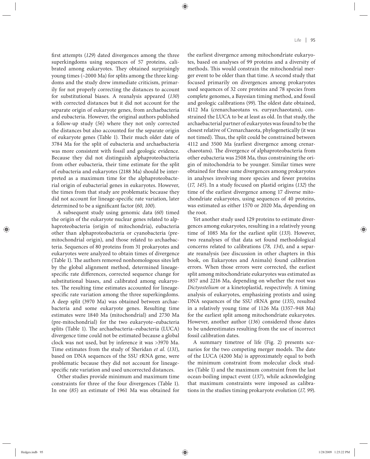first attempts (129) dated divergences among the three superkingdoms using sequences of 57 proteins, calibrated among eukaryotes. They obtained surprisingly young times (~2000 Ma) for splits among the three kingdoms and the study drew immediate criticism, primarily for not properly correcting the distances to account for su bstitu tional biases. A reanalysis appeared (*130*) with corrected distances but it did not account for the separate origin of eukaryote genes, from archaebacteria and eubacteria. However, the original authors published a follow-up study (*56*) where they not only corrected the distances but also accounted for the separate origin of eukaryote genes (Table 1). Their much older date of 3784 Ma for the split of eubacteria and archaebacteria was more consistent with fossil and geologic evidence. Because they did not distinguish alphaproteobacteria from other eubacteria, their time estimate for the split of eubacteria and eukaryotes (2188 Ma) should be interpreted as a maximum time for the alphaproteobacterial origin of eubacterial genes in eukaryotes. However, the times from that study are problematic because they did not account for lineage-specific rate variation, later determined to be a significant factor (60, 100).

A subsequent study using genomic data (*60*) timed the origin of the eukaryote nuclear genes related to alphaproteobacteria (origin of mitochondria), eubacteria other than alphaproteobacteria or cyanobacteria (premitochondrial origin), and those related to archaebacteria. Sequences of 80 proteins from 31 prokaryotes and eukaryotes were analyzed to obtain times of divergence (Table 1). The authors removed nonhomologous sites left by the global alignment method, determined lineagespecific rate differences, corrected sequence change for substitutional biases, and calibrated among eukaryotes. The resulting time estimates accounted for lineagespecific rate variation among the three superkingdoms. A deep split (3970 Ma) was obtained between archaebacteria and some eukaryote genes. Resulting time estimates were 1840 Ma (mitochondrial) and 2730 Ma (pre-mitochondrial) for the two eukaryote–eubacteria splits (Table 1). The archaebacteria-eubacteria (LUCA) divergence time could not be estimated because a global clock was not used, but by inference it was >3970 Ma. Time estimates from the study of Sheridan *et al.* (*131*), based on DNA sequences of the SSU rRNA gene, were problematic because they did not account for lineagespecific rate variation and used uncorrected distances.

Other studies provide minimum and maximum time constraints for three of the four divergences (Table 1). In one (*85*) an estimate of 1961 Ma was obtained for the earliest divergence among mitochondriate eukaryotes, based on analyses of 99 proteins and a diversity of methods. This would constrain the mitochondrial merger event to be older than that time. A second study that focused primarily on divergences among prokaryotes used sequences of 32 core proteins and 78 species from complete genomes, a Bayesian timing method, and fossil and geologic calibrations (99). The oldest date obtained, 4112 Ma (crenarchaeotans vs. euryarchaeotans), constrained the LUCA to be at least as old. In that study, the archaebacterial partner of eukaryotes was found to be the closest relative of Crenarchaeota, phylogenetically (it was not timed). Thus, the split could be constrained between 4112 and 3500 Ma (earliest divergence among crenarchaeotans). The divergence of alphaproteobacteria from other eubacteria was 2508 Ma, thus constraining the origin of mitochondria to be younger. Similar times were obtained for these same divergences among prokaryotes in analyses involving more species and fewer proteins (*17, 145*). In a study focused on plastid origins (*132*) the time of the earliest divergence among 17 diverse mitochondriate eukaryotes, using sequences of 40 proteins, was estimated as either 1570 or 2020 Ma, depending on the root.

Yet another study used 129 proteins to estimate divergences among eukaryotes, resulting in a relatively young time of 1085 Ma for the earliest split (*133*). However, two reanalyses of that data set found methodological concerns related to calibrations (*78, 134*), and a separate reanalysis (see discussion in other chapters in this book, on Eukaryotes and Animals) found calibration errors. When those errors were corrected, the earliest split among mitochondriate eukaryotes was estimated as 1857 and 2216 Ma, depending on whether the root was *Dictyostelium* or a kinetoplastid, respectively. A timing analysis of eukaryotes, emphasizing protists and using DNA sequences of the SSU rRNA gene (135), resulted in a relatively young time of 1126 Ma (1357–948 Ma) for the earliest split among mitochondriate eukaryotes. However, another author (136) considered those dates to be underestimates resulting from the use of incorrect fossil calibration dates.

A summary timetree of life (Fig. 2) presents scenarios for the two competing merger models. The date of the LUCA (4200 Ma) is approximately equal to both the minimum constraint from molecular clock studies (Table 1) and the maximum constraint from the last ocean-boiling impact event (*137*), while acknowledging that maximum constraints were imposed as calibrations in the studies timing prokaryote evolution (*17, 99*).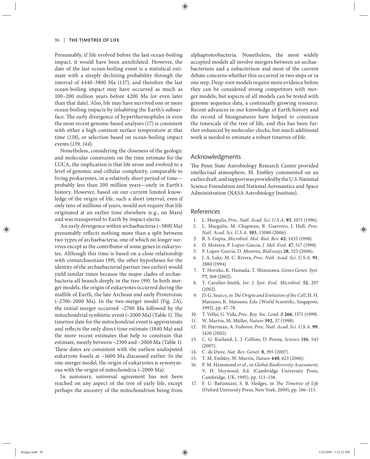Presumably, if life evolved before the last ocean-boiling impact, it would have been annihilated. However, the date of the last ocean-boiling event is a statistical estimate with a steeply declining probability through the interval of 4440–3800 Ma (*137*), and therefore the last ocean-boiling impact may have occurred as much as 100–200 million years before 4200 Ma (or even later than that date). Also, life may have survived one or more ocean-boiling impacts by inhabiting the Earth's subsurface. The early divergence of hyperthermophiles in even the most recent genome-based analyses (*17*) is consistent with either a high constant surface temperature at that time (*138*), or selection based on ocean-boiling impact events (*139, 144*).

Nonetheless, considering the closeness of the geologic and molecular constraints on the time estimate for the LUCA, the implication is that life arose and evolved to a level of genomic and cellular complexity, comparable to living prokaryotes, in a relatively short period of time probably less than 200 million years—early in Earth's history. However, based on our current limited knowledge of the origin of life, such a short interval, even if only tens of millions of years, would not require that life originated at an earlier time elsewhere (e.g., on Mars) and was transported to Earth by impact ejecta.

An early divergence within archaebacteria (~3800 Ma) presumably reflects nothing more than a split between two types of archaebacteria, one of which no longer survives except as the contributor of some genes in eukaryotes. Although this time is based on a close relationship with crenarchaeotans (*99*), the other hypotheses for the identity of the archaebacterial partner (see earlier) would yield similar times because the major clades of archaebacteria all branch deeply in the tree (*99*). In both merger models, the origin of eukaryotes occurred during the midlife of Earth, the late Archean and early Proterozoic  $(-2700-2000$  Ma). In the two-merger model (Fig. 2A), the initial merger occurred ~2700 Ma followed by the mitochondrial symbiotic event  $(\sim 2000$  Ma) (Table 1). The timetree date for the mitochondrial event is approximate and reflects the only direct time estimate (1840 Ma) and the more recent estimates that help to constrain that estimate, mostly between ~2300 and ~2000 Ma (Table 1). These dates are consistent with the earliest undisputed eukaryote fossils at ~1600 Ma discussed earlier. In the one-merger model, the origin of eukaryotes is synonymous with the origin of mitochondria (~2000 Ma).

In summary, universal agreement has not been reached on any aspect of the tree of early life, except perhaps the ancestry of the mitochondrion being from alphaproteobacteria. Nonetheless, the most widely accepted models all involve mergers between an archaebacterium and a eubacterium and most of the current debate concerns whether this occurred in two steps or in one step. Deep-root models require more evidence before they can be considered strong competitors with merger models, but aspects of all models can be tested with genome sequence data, a continually growing resource. Recent advances in our knowledge of Earth history and the record of biosignatures have helped to constrain the timescale of the tree of life, and this has been further enhanced by molecular clocks, but much additional work is needed to estimate a robust timetree of life.

#### Acknowledgments

The Penn State Astrobiology Research Center provided intellectual atmosphere, M. Embley commented on an earlier draft, and support was provided by the U.S. National Science Foundation and National Aeronautics and Space Administration (NASA Astrobiology Institute).

## References

- 1. L. Margulis, *Proc. Natl. Acad. Sci. U.S.A.* **93**, 1071 (1996).
- 2. L. Margulis, M. Chapman, R. Guerrero, J. Hall, *Proc. Natl. Acad. Sci. U.S.A.* **103**, 13080 (2006).
- 3. R. S. Gupta, *Microbiol. Mol. Biol. Rev.* **62**, 1435 (1998).
- 4. D. Moreira, P. Lopez-Garcia, *J. Mol. Evol.* **47**, 517 (1998).
- 5. P. Lopez-Garcia, D. Moreira, *BioEssays* **28**, 525 (2006).
- 6. J. A. Lake, M. C. Rivera, *Proc. Natl. Acad. Sci. U.S.A.* **91**, 2880 (1994).
- 7. T. Horiike, K. Hamada, T. Shinozawa, *Genes Genet. Syst.* **77**, 369 (2002).
- 8. T. Cavalier-Smith, *Int. J. Syst. Evol. Microbiol.* **52**, 297 (2002).
- 9. D. G. Searcy, in *The Origin and Evolution of the Cell*, H. H. Matsuno, K. Matsuno, Eds. (World Scientific, Singapore, 1992), pp. 47–78.
- 10. T. Vellai, G. Vida, *Proc. Roy. Soc. Lond. B* **266**, 1571 (1999).
- 11. W. Martin, M. Müller, *Nature* **392**, 37 (1998).
- 12. H. Hartman, A. Fedorov, *Proc. Natl. Acad. Sci. U.S.A.* **99**, 1420 (2002).
- 13. C. G. Kurland, L. J. Collins, D. Penny, *Science* **316**, 543 (2007).
- 14. C. de Duve, *Nat. Rev. Genet.* **8**, 395 (2007).
- 15. T. M. Embley, W. Martin, *Nature* **440**, 623 (2006).
- 16. P. M. Hammond *et al.*, in *Global Biodiversity Assessment*, V. H. Heywood, Ed. (Cambridge University Press, Cambridge, UK, 1995), pp. 113–138.
- 17. F. U. Battistuzzi, S. B. Hedges, in *The Timetree of Life* (Oxford University Press, New York, 2009), pp. 106–115.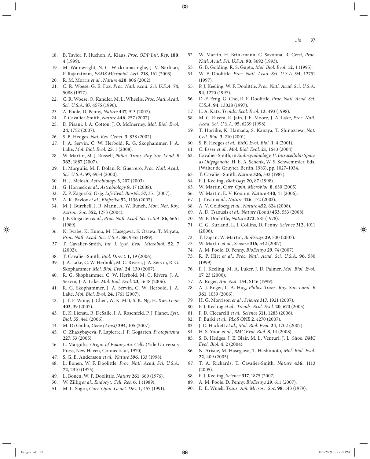- 18. B. Taylor, P. Huchon, A. Klaus, *Proc. ODP Init. Rep.* **180**, 4 (1999).
- 19. M. Wainwright, N. C. Wickramasinghe, J. V. Narlikar, P. Rajaratnam, *FEMS Microbiol. Lett.* **218**, 161 (2003).
- 20. R. M. Morris *et al.*, *Nature* **420**, 806 (2002).
- 21. C. R. Woese, G. E. Fox, *Proc. Natl. Acad. Sci. U.S.A.* **74**, 5088 (1977).
- 22. C. R. Woese, O. Kandler, M. L. Wheelis, *Proc. Natl. Acad. Sci. U.S.A.* **87**, 4576 (1990).
- 23. A. Poole, D. Penny, *Nature* **447**, 913 (2007).
- 24. T. Cavalier-Smith, *Nature* **446**, 257 (2007).
- 25. D. Pisani, J. A. Cotton, J. O. McInerney, *Mol. Biol. Evol.* **24**, 1752 (2007).
- 26. S. B. Hedges, *Nat. Rev. Genet.* **3**, 838 (2002).
- 27. J. A. Servin, C. W. Herbold, R. G. Skophammer, J. A. Lake, *Mol. Biol. Evol.* **25**, 1 (2008).
- 28. W. Martin, M. J. Russell, *Philos. Trans. Roy. Soc. Lond. B* **362**, 1887 (2007).
- 29. L. Margulis, M. F. Dolan, R. Guerrero, *Proc. Natl. Acad. Sci. U.S.A.* **97**, 6954 (2000).
- 30. H. J. Melosh, *Astrobiology* **3**, 207 (2003).
- 31. G. Horneck *et al.*, *Astrobiology* **8**, 17 (2008).
- 32. Z. P. Zagorski, *Orig. Life Evol. Biosph.* **37**, 351 (2007).
- 33. A. K. Pavlov et al., Biofizika 52, 1136 (2007).
- 34. M. J. Burchell, J. R. Mann, A. W. Bunch, *Mon. Not. Roy. Astron. Soc.* **352**, 1273 (2004).
- 35. J. P. Gogarten *et al.*, *Proc. Natl. Acad. Sci. U.S.A.* **86**, 6661 (1989).
- 36. N. Iwabe, K. Kuma, M. Hasegawa, S. Osawa, T. Miyata, *Proc. Natl. Acad. Sci. U.S.A.* **86**, 9355 (1989).
- 37. T. Cavalier-Smith, *Int. J. Syst. Evol. Microbiol.* **52**, 7 (2002).
- 38. T. Cavalier-Smith, *Biol. Direct.* **1,** 19 (2006).
- 39. J. A. Lake, C. W. Herbold, M. C. Rivera, J. A. Servin, R. G. Skophammer, *Mol. Biol. Evol.* **24**, 130 (2007).
- 40. R. G. Skophammer, C. W. Herbold, M. C. Rivera, J. A. Servin, J. A. Lake, *Mol. Biol. Evol.* **23**, 1648 (2006).
- 41. R. G. Skophammer, J. A. Servin, C. W. Herbold, J. A. Lake, *Mol. Biol. Evol.* **24**, 1761 (2007).
- 42. J. T. F. Wong, J. Chen, W. K. Mat, S. K. Ng, H. Xue, *Gene* **403**, 39 (2007).
- 43. E. K. Lienau, R. DeSalle, J. A. Rosenfeld, P. J. Planet, *Syst. Biol.* **55**, 441 (2006).
- 44. M. Di Giulio, *Gene (Amst)* **394**, 105 (2007).
- 45. O. Zhaxybayeva, P. Lapierre, J. P. Gogarten, *Protoplasma* **227**, 53 (2005).
- 46. L. Margulis, *Origin of Eukaryotic Cells* (Yale University Press, New Haven, Connecticut, 1970).
- 47. S. G. E. Andersson *et al.*, *Nature* **396**, 133 (1998).
- 48. L. Bonen, W. F. Doolittle, *Proc. Natl. Acad. Sci. U.S.A.* **72**, 2310 (1975).
- 49. L. Bonen, W. F. Doolittle, *Nature* **261**, 669 (1976).
- 50. W. Zillig *et al.*, *Endocyt. Cell. Res.* **6**, 1 (1989).
- 51. M. L. Sogin, *Curr. Opin. Genet. Dev.* **1**, 457 (1991).
- 52. W. Martin, H. Brinkmann, C. Savonna, R. Cerff, Proc. *Natl. Acad. Sci. U.S.A.* **90**, 8692 (1993).
- 53. G. B. Golding, R. S. Gupta, *Mol. Biol. Evol.* **12**, 1 (1995).
- 54. W. F. Doolittle, *Proc. Natl. Acad. Sci. U.S.A.* **94**, 12751 (1997).
- 55. P. J. Keeling, W. F. Doolittle, *Proc. Natl. Acad. Sci. U.S.A.* **94**, 1270 (1997).
- 56. D.-F. Feng, G. Cho, R. F. Doolittle, *Proc. Natl. Acad. Sci. U.S.A.* **94**, 13028 (1997).
- 57. L. A. Katz, *Trends. Ecol. Evol.* **13**, 493 (1998).
- 58. M. C. Rivera, R. Jain, J. E. Moore, J. A. Lake, *Proc. Natl. Acad. Sci. U.S.A.* **95**, 6239 (1998).
- 59. T. Horiike, K. Hamada, S. Kanaya, T. Shinozawa, *Nat. Cell. Biol.* **3**, 210 (2001).
- 60. S. B. Hedges *et al.*, *BMC Evol. Biol.* **1**, 4 (2001).
- 61. C. Esser *et al.*, *Mol. Biol. Evol.* **21**, 1643 (2004).
- 62. Cavalier-Smith, in *Endocytobiology. II. Intracellular Space as Oligogenetic*, H. E. A. Schenk, W. S. Schwemmler, Eds. (Walter de Gruyter, Berlin, 1983), pp. 1027–1034.
- 63. T. Cavalier-Smith, *Nature* **326**, 332 (1987).
- 64. P. J. Keeling, *BioEssays* **20**, 87 (1998).
- 65. W. Martin, *Curr. Opin. Microbiol.* **8**, 630 (2005).
- 66. W. Martin, E. V. Koonin, *Nature* **440**, 41 (2006).
- 67. J. Tovar *et al.*, *Nature* **426**, 172 (2003).
- 68. A. V. Goldberg *et al.*, *Nature* **452**, 624 (2008).
- 69. A. D. Tsaousis *et al.*, *Nature (Lond)* **453**, 553 (2008).
- 70. W. F. Doolittle, *Nature* **272**, 581 (1978).
- 71. C. G. Kurland, L. J. Collins, D. Penny, *Science* **312**, 1011 (2006).
- 72. T. Dagan, W. Martin, *BioEssays* **29**, 500 (2007).
- 73. W. Martin *et al.*, *Science* **316**, 542 (2007).
- 74. A. M. Poole, D. Penny, *BioEssays* **29**, 74 (2007).
- 75. R. P. Hirt *et al.*, *Proc. Natl. Acad. Sci. U.S.A.* **96**, 580 (1999).
- 76. P. J. Keeling, M. A. Luker, J. D. Palmer, *Mol. Biol. Evol.* **17**, 23 (2000).
- 77. A. Roger, *Am. Nat.* **154**, S146 (1999).
- 78. A. J. Roger, L. A. Hug, *Philos. Trans. Roy. Soc. Lond. B* **361**, 1039 (2006).
- 79. H. G. Morrison *et al.*, *Science* **317**, 1921 (2007).
- 80. P. J. Keeling *et al.*, *Trends. Ecol. Evol.* **20**, 670 (2005).
- 81. F. D. Ciccarelli *et al.*, *Science* **311**, 1283 (2006).
- 82. F. Burki *et al.*, *PLoS ONE* **2**, e270 (2007).
- 83. J. D. Hackett *et al.*, *Mol. Biol. Evol.* **24**, 1702 (2007).
- 84. H. S. Yoon *et al.*, *BMC Evol. Biol.* **8**, 14 (2008).
- 85. S. B. Hedges, J. E. Blair, M. L. Venturi, J. L. Shoe, *BMC Evol. Biol.* **4**, 2 (2004).
- 86. N. Arisue, M. Hasegawa, T. Hashimoto, *Mol. Biol. Evol.* **22**, 409 (2005).
- 87. T. A. Richards, T. Cavalier-Smith, *Nature* **436**, 1113 (2005).
- 88. P. J. Keeling, *Science* **317**, 1875 (2007).
- 89. A. M. Poole, D. Penny, *BioEssays* **29**, 611 (2007).
- 90. D. E. Wujek, *Trans. Am. Microsc. Soc.* **98**, 143 (1979).